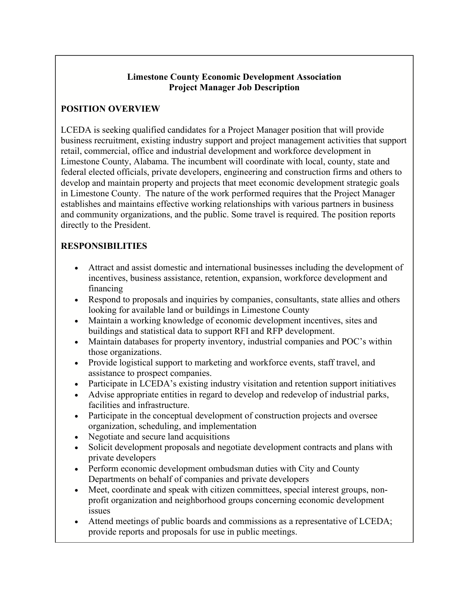## **Limestone County Economic Development Association Project Manager Job Description**

## **POSITION OVERVIEW**

LCEDA is seeking qualified candidates for a Project Manager position that will provide business recruitment, existing industry support and project management activities that support retail, commercial, office and industrial development and workforce development in Limestone County, Alabama. The incumbent will coordinate with local, county, state and federal elected officials, private developers, engineering and construction firms and others to develop and maintain property and projects that meet economic development strategic goals in Limestone County. The nature of the work performed requires that the Project Manager establishes and maintains effective working relationships with various partners in business and community organizations, and the public. Some travel is required. The position reports directly to the President.

## **RESPONSIBILITIES**

- Attract and assist domestic and international businesses including the development of incentives, business assistance, retention, expansion, workforce development and financing
- Respond to proposals and inquiries by companies, consultants, state allies and others looking for available land or buildings in Limestone County
- Maintain a working knowledge of economic development incentives, sites and buildings and statistical data to support RFI and RFP development.
- Maintain databases for property inventory, industrial companies and POC's within those organizations.
- Provide logistical support to marketing and workforce events, staff travel, and assistance to prospect companies.
- Participate in LCEDA's existing industry visitation and retention support initiatives
- Advise appropriate entities in regard to develop and redevelop of industrial parks, facilities and infrastructure.
- Participate in the conceptual development of construction projects and oversee organization, scheduling, and implementation
- Negotiate and secure land acquisitions
- Solicit development proposals and negotiate development contracts and plans with private developers
- Perform economic development ombudsman duties with City and County Departments on behalf of companies and private developers
- Meet, coordinate and speak with citizen committees, special interest groups, nonprofit organization and neighborhood groups concerning economic development issues
- Attend meetings of public boards and commissions as a representative of LCEDA; provide reports and proposals for use in public meetings.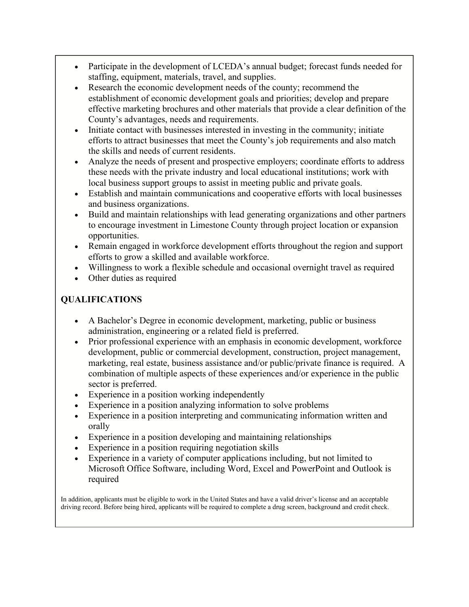- Participate in the development of LCEDA's annual budget; forecast funds needed for staffing, equipment, materials, travel, and supplies.
- Research the economic development needs of the county; recommend the establishment of economic development goals and priorities; develop and prepare effective marketing brochures and other materials that provide a clear definition of the County's advantages, needs and requirements.
- Initiate contact with businesses interested in investing in the community; initiate efforts to attract businesses that meet the County's job requirements and also match the skills and needs of current residents.
- Analyze the needs of present and prospective employers; coordinate efforts to address these needs with the private industry and local educational institutions; work with local business support groups to assist in meeting public and private goals.
- Establish and maintain communications and cooperative efforts with local businesses and business organizations.
- Build and maintain relationships with lead generating organizations and other partners to encourage investment in Limestone County through project location or expansion opportunities.
- Remain engaged in workforce development efforts throughout the region and support efforts to grow a skilled and available workforce.
- Willingness to work a flexible schedule and occasional overnight travel as required
- Other duties as required

## **QUALIFICATIONS**

- A Bachelor's Degree in economic development, marketing, public or business administration, engineering or a related field is preferred.
- Prior professional experience with an emphasis in economic development, workforce development, public or commercial development, construction, project management, marketing, real estate, business assistance and/or public/private finance is required. A combination of multiple aspects of these experiences and/or experience in the public sector is preferred.
- Experience in a position working independently
- Experience in a position analyzing information to solve problems
- Experience in a position interpreting and communicating information written and orally
- Experience in a position developing and maintaining relationships
- Experience in a position requiring negotiation skills
- Experience in a variety of computer applications including, but not limited to Microsoft Office Software, including Word, Excel and PowerPoint and Outlook is required

In addition, applicants must be eligible to work in the United States and have a valid driver's license and an acceptable driving record. Before being hired, applicants will be required to complete a drug screen, background and credit check.